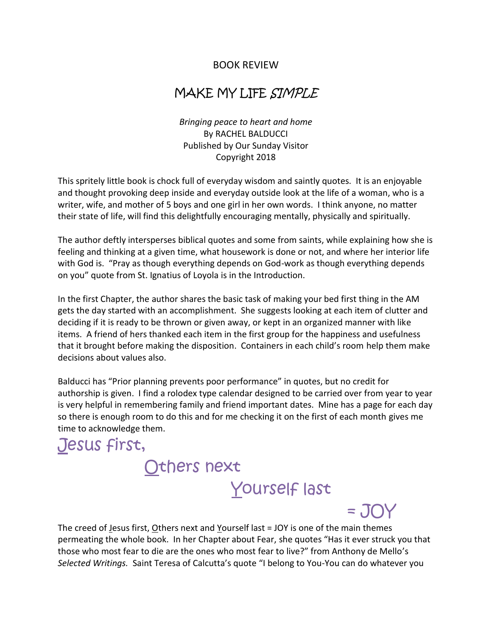## BOOK REVIEW

## MAKE MY LIFE SIMPLE

*Bringing peace to heart and home* By RACHEL BALDUCCI Published by Our Sunday Visitor Copyright 2018

This spritely little book is chock full of everyday wisdom and saintly quotes. It is an enjoyable and thought provoking deep inside and everyday outside look at the life of a woman, who is a writer, wife, and mother of 5 boys and one girl in her own words. I think anyone, no matter their state of life, will find this delightfully encouraging mentally, physically and spiritually.

The author deftly intersperses biblical quotes and some from saints, while explaining how she is feeling and thinking at a given time, what housework is done or not, and where her interior life with God is. "Pray as though everything depends on God-work as though everything depends on you" quote from St. Ignatius of Loyola is in the Introduction.

In the first Chapter, the author shares the basic task of making your bed first thing in the AM gets the day started with an accomplishment. She suggests looking at each item of clutter and deciding if it is ready to be thrown or given away, or kept in an organized manner with like items. A friend of hers thanked each item in the first group for the happiness and usefulness that it brought before making the disposition. Containers in each child's room help them make decisions about values also.

Balducci has "Prior planning prevents poor performance" in quotes, but no credit for authorship is given. I find a rolodex type calendar designed to be carried over from year to year is very helpful in remembering family and friend important dates. Mine has a page for each day so there is enough room to do this and for me checking it on the first of each month gives me time to acknowledge them.

## Jesus first, Others next Yourself last

The creed of Jesus first, Others next and Yourself last = JOY is one of the main themes permeating the whole book. In her Chapter about Fear, she quotes "Has it ever struck you that those who most fear to die are the ones who most fear to live?" from Anthony de Mello's *Selected Writings.* Saint Teresa of Calcutta's quote "I belong to You-You can do whatever you

 $=$  JOY